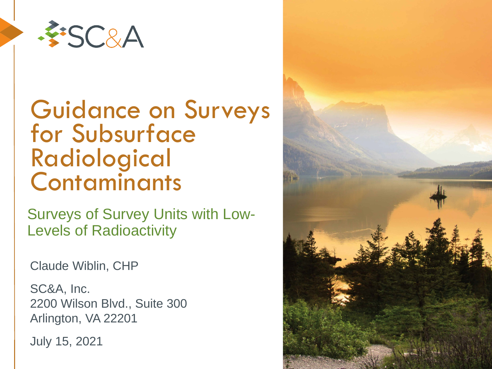

#### Guidance on Surveys for Subsurface Radiological **Contaminants**

Surveys of Survey Units with Low-Levels of Radioactivity

Claude Wiblin, CHP

SC&A, Inc. 2200 Wilson Blvd., Suite 300 Arlington, VA 22201

July 15, 2021

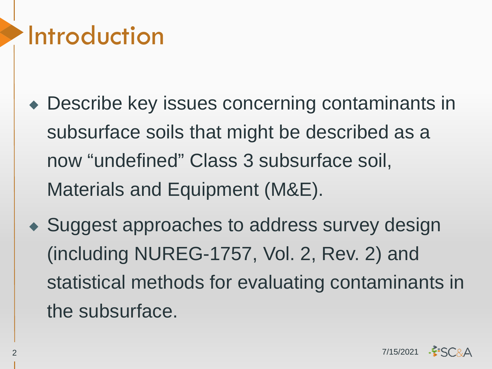#### Introduction

- ◆ Describe key issues concerning contaminants in subsurface soils that might be described as a now "undefined" Class 3 subsurface soil, Materials and Equipment (M&E).
- ◆ Suggest approaches to address survey design (including NUREG-1757, Vol. 2, Rev. 2) and statistical methods for evaluating contaminants in the subsurface.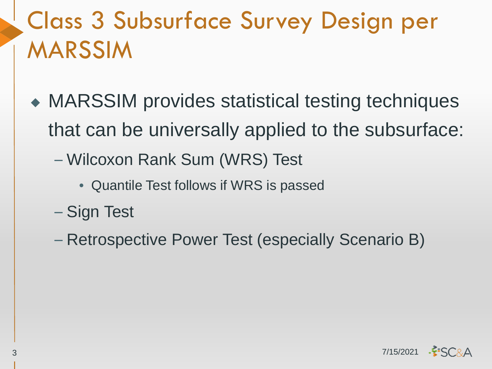#### Class 3 Subsurface Survey Design per MARSSIM

- ◆ MARSSIM provides statistical testing techniques that can be universally applied to the subsurface:
	- Wilcoxon Rank Sum (WRS) Test
		- Quantile Test follows if WRS is passed
	- Sign Test
	- Retrospective Power Test (especially Scenario B)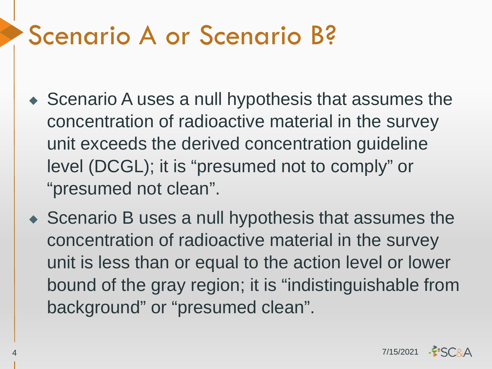#### Scenario A or Scenario B?

- ◆ Scenario A uses a null hypothesis that assumes the concentration of radioactive material in the survey unit exceeds the derived concentration guideline level (DCGL); it is "presumed not to comply" or "presumed not clean".
- ◆ Scenario B uses a null hypothesis that assumes the concentration of radioactive material in the survey unit is less than or equal to the action level or lower bound of the gray region; it is "indistinguishable from background" or "presumed clean".

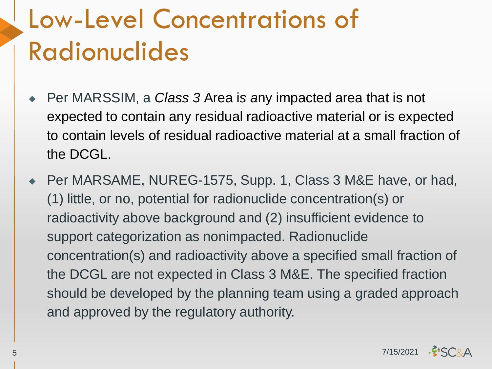# Low-Level Concentrations of Radionuclides

- ◆ Per MARSSIM, a *Class 3* Area is any impacted area that is not expected to contain any residual radioactive material or is expected to contain levels of residual radioactive material at a small fraction of the DCGL.
- ◆ Per MARSAME, NUREG-1575, Supp. 1, Class 3 M&E have, or had, (1) little, or no, potential for radionuclide concentration(s) or radioactivity above background and (2) insufficient evidence to support categorization as nonimpacted. Radionuclide concentration(s) and radioactivity above a specified small fraction of the DCGL are not expected in Class 3 M&E. The specified fraction should be developed by the planning team using a graded approach and approved by the regulatory authority.

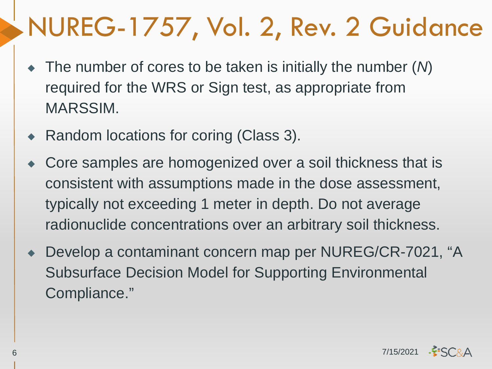# NUREG-1757, Vol. 2, Rev. 2 Guidance

- ◆ The number of cores to be taken is initially the number (*N*) required for the WRS or Sign test, as appropriate from MARSSIM.
- ◆ Random locations for coring (Class 3).
- Core samples are homogenized over a soil thickness that is consistent with assumptions made in the dose assessment, typically not exceeding 1 meter in depth. Do not average radionuclide concentrations over an arbitrary soil thickness.
- Develop a contaminant concern map per NUREG/CR-7021, "A Subsurface Decision Model for Supporting Environmental Compliance."

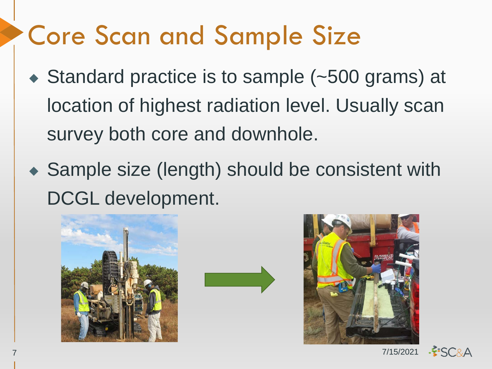# Core Scan and Sample Size

- ◆ Standard practice is to sample (~500 grams) at location of highest radiation level. Usually scan survey both core and downhole.
- ◆ Sample size (length) should be consistent with DCGL development.





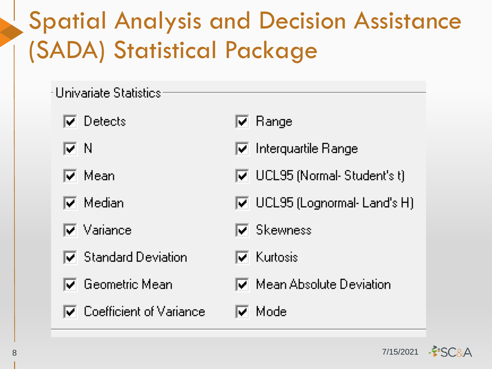#### Spatial Analysis and Decision Assistance (SADA) Statistical Package

- -Univariate Statistics
	- $\overline{\blacktriangledown}$  Detects
	- ПN
	- l⊽ Mean
	- $\overline{\mathsf{v}}$  Median
	- $\overline{\blacktriangledown}$  . Variance
	- $\nabla$  Standard Deviation
	- $\overline{\bm{\triangledown}}$  . Geometric Mean .
	- $\overline{\blacktriangledown}$  Coefficient of Variance
- $\nabla$  Range
- $\nabla$  Interquartile Range
- $\overline{M}$  UCL95 (Normal-Student's t)
- $\overline{|\mathbf{v}|}$  UCL95 (Lognormal-Land's H)
- $\overline{\blacktriangledown}$  Skewness
- l⊽l Kurtosis
- $\nabla$  Mean Absolute Deviation
- l⊽l Model

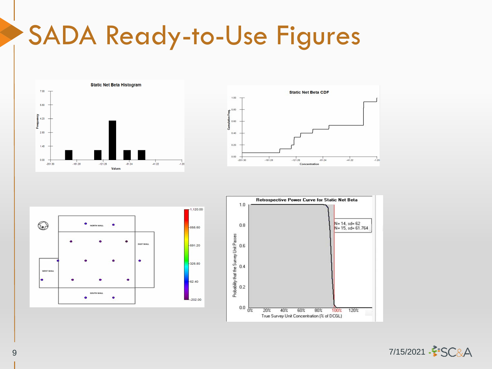# SADA Ready-to-Use Figures









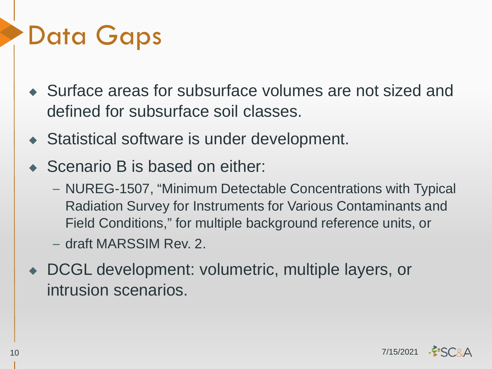# Data Gaps

- ◆ Surface areas for subsurface volumes are not sized and defined for subsurface soil classes.
- ◆ Statistical software is under development.
- ◆ Scenario B is based on either:
	- NUREG-1507, "Minimum Detectable Concentrations with Typical Radiation Survey for Instruments for Various Contaminants and Field Conditions," for multiple background reference units, or
	- draft MARSSIM Rev. 2.
- ◆ DCGL development: volumetric, multiple layers, or intrusion scenarios.